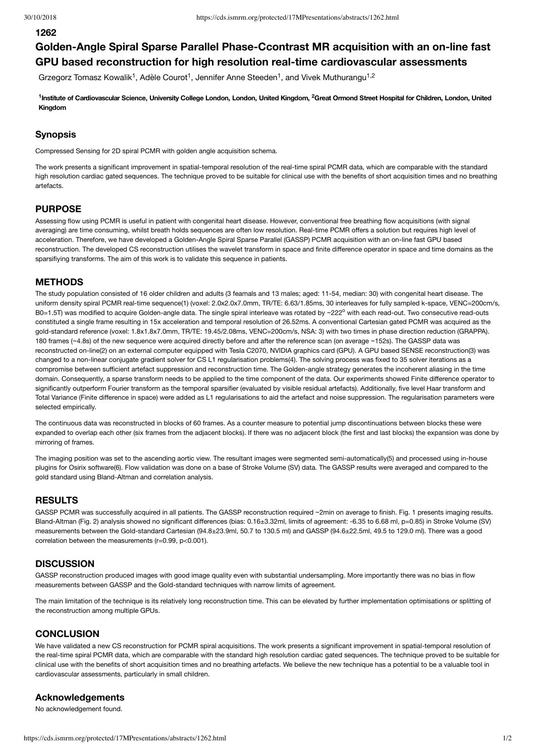#### **1262**

# **Golden-Angle Spiral Sparse Parallel Phase-Ccontrast MR acquisition with an on-line fast GPU based reconstruction for high resolution real-time cardiovascular assessments**

Grzegorz Tomasz Kowalik<sup>1</sup>, Adèle Courot<sup>1</sup>, Jennifer Anne Steeden<sup>1</sup>, and Vivek Muthurangu<sup>1,2</sup>

<sup>1</sup>Institute of Cardiovascular Science, University College London, London, United Kingdom, <sup>2</sup>Great Ormond Street Hospital for Children, London, United **Kingdom**

# **Synopsis**

Compressed Sensing for 2D spiral PCMR with golden angle acquisition schema.

The work presents a significant improvement in spatial-temporal resolution of the real-time spiral PCMR data, which are comparable with the standard high resolution cardiac gated sequences. The technique proved to be suitable for clinical use with the benefits of short acquisition times and no breathing artefacts.

# **PURPOSE**

Assessing flow using PCMR is useful in patient with congenital heart disease. However, conventional free breathing flow acquisitions (with signal averaging) are time consuming, whilst breath holds sequences are often low resolution. Real-time PCMR offers a solution but requires high level of acceleration. Therefore, we have developed a Golden-Angle Spiral Sparse Parallel (GASSP) PCMR acquisition with an on-line fast GPU based reconstruction. The developed CS reconstruction utilises the wavelet transform in space and finite difference operator in space and time domains as the sparsifiying transforms. The aim of this work is to validate this sequence in patients.

#### **METHODS**

The study population consisted of 16 older children and adults (3 feamals and 13 males; aged: 11-54, median: 30) with congenital heart disease. The uniform density spiral PCMR real-time sequence(1) (voxel: 2.0x2.0x7.0mm, TR/TE: 6.63/1.85ms, 30 interleaves for fully sampled k-space, VENC=200cm/s, B0=1.5T) was modified to acquire Golden-angle data. The single spiral interleave was rotated by ~222° with each read-out. Two consecutive read-outs constituted a single frame resulting in 15x acceleration and temporal resolution of 26.52ms. A conventional Cartesian gated PCMR was acquired as the gold-standard reference (voxel: 1.8x1.8x7.0mm, TR/TE: 19.45/2.08ms, VENC=200cm/s, NSA: 3) with two times in phase direction reduction (GRAPPA). 180 frames (~4.8s) of the new sequence were acquired directly before and after the reference scan (on average ~152s). The GASSP data was reconstructed on-line(2) on an external computer equipped with Tesla C2070, NVIDIA graphics card (GPU). A GPU based SENSE reconstruction(3) was changed to a non-linear conjugate gradient solver for CS L1 regularisation problems(4). The solving process was fixed to 35 solver iterations as a compromise between sufficient artefact suppression and reconstruction time. The Golden-angle strategy generates the incoherent aliasing in the time domain. Consequently, a sparse transform needs to be applied to the time component of the data. Our experiments showed Finite difference operator to significantly outperform Fourier transform as the temporal sparsifier (evaluated by visible residual artefacts). Additionally, five level Haar transform and Total Variance (Finite difference in space) were added as L1 regularisations to aid the artefact and noise suppression. The regularisation parameters were selected empirically.

The continuous data was reconstructed in blocks of 60 frames. As a counter measure to potential jump discontinuations between blocks these were expanded to overlap each other (six frames from the adjacent blocks). If there was no adjacent block (the first and last blocks) the expansion was done by mirroring of frames.

The imaging position was set to the ascending aortic view. The resultant images were segmented semi-automatically(5) and processed using in-house plugins for Osirix software(6). Flow validation was done on a base of Stroke Volume (SV) data. The GASSP results were averaged and compared to the gold standard using Bland-Altman and correlation analysis.

# **RESULTS**

GASSP PCMR was successfully acquired in all patients. The GASSP reconstruction required ~2min on average to finish. Fig. 1 presents imaging results. Bland-Altman (Fig. 2) analysis showed no significant differences (bias: 0.16±3.32ml, limits of agreement: -6.35 to 6.68 ml, p=0.85) in Stroke Volume (SV) measurements between the Gold-standard Cartesian (94.8±23.9ml, 50.7 to 130.5 ml) and GASSP (94.6±22.5ml, 49.5 to 129.0 ml). There was a good correlation between the measurements (r=0.99, p<0.001).

#### **DISCUSSION**

GASSP reconstruction produced images with good image quality even with substantial undersampling. More importantly there was no bias in flow measurements between GASSP and the Gold-standard techniques with narrow limits of agreement.

The main limitation of the technique is its relatively long reconstruction time. This can be elevated by further implementation optimisations or splitting of the reconstruction among multiple GPUs.

# **CONCLUSION**

We have validated a new CS reconstruction for PCMR spiral acquisitions. The work presents a significant improvement in spatial-temporal resolution of the real-time spiral PCMR data, which are comparable with the standard high resolution cardiac gated sequences. The technique proved to be suitable for clinical use with the benefits of short acquisition times and no breathing artefacts. We believe the new technique has a potential to be a valuable tool in cardiovascular assessments, particularly in small children.

### **Acknowledgements**

No acknowledgement found.